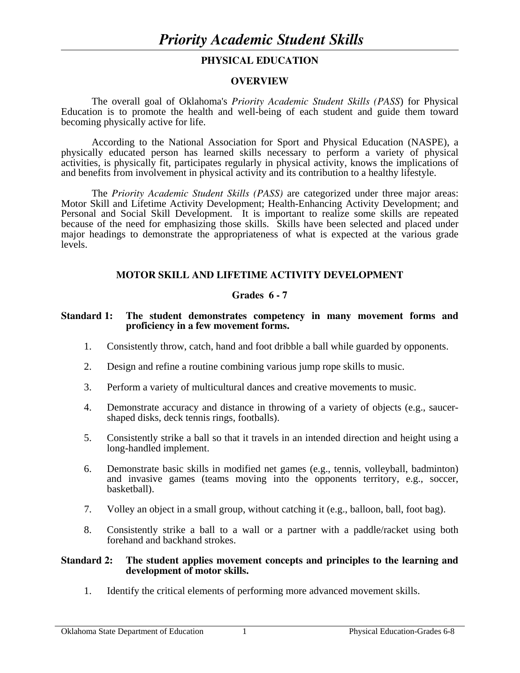## **PHYSICAL EDUCATION**

#### **OVERVIEW**

The overall goal of Oklahoma's *Priority Academic Student Skills (PASS*) for Physical Education is to promote the health and well-being of each student and guide them toward becoming physically active for life.

 According to the National Association for Sport and Physical Education (NASPE), a physically educated person has learned skills necessary to perform a variety of physical activities, is physically fit, participates regularly in physical activity, knows the implications of and benefits from involvement in physical activity and its contribution to a healthy lifestyle.

 The *Priority Academic Student Skills (PASS)* are categorized under three major areas: Motor Skill and Lifetime Activity Development; Health-Enhancing Activity Development; and Personal and Social Skill Development. It is important to realize some skills are repeated because of the need for emphasizing those skills. Skills have been selected and placed under major headings to demonstrate the appropriateness of what is expected at the various grade levels.

## **MOTOR SKILL AND LIFETIME ACTIVITY DEVELOPMENT**

## **Grades 6 - 7**

#### **Standard 1: The student demonstrates competency in many movement forms and proficiency in a few movement forms.**

- 1. Consistently throw, catch, hand and foot dribble a ball while guarded by opponents.
- 2. Design and refine a routine combining various jump rope skills to music.
- 3. Perform a variety of multicultural dances and creative movements to music.
- 4. Demonstrate accuracy and distance in throwing of a variety of objects (e.g., saucershaped disks, deck tennis rings, footballs).
- 5. Consistently strike a ball so that it travels in an intended direction and height using a long-handled implement.
- 6. Demonstrate basic skills in modified net games (e.g., tennis, volleyball, badminton) and invasive games (teams moving into the opponents territory, e.g., soccer, basketball).
- 7. Volley an object in a small group, without catching it (e.g., balloon, ball, foot bag).
- 8. Consistently strike a ball to a wall or a partner with a paddle/racket using both forehand and backhand strokes.

#### **Standard 2: The student applies movement concepts and principles to the learning and development of motor skills.**

1. Identify the critical elements of performing more advanced movement skills.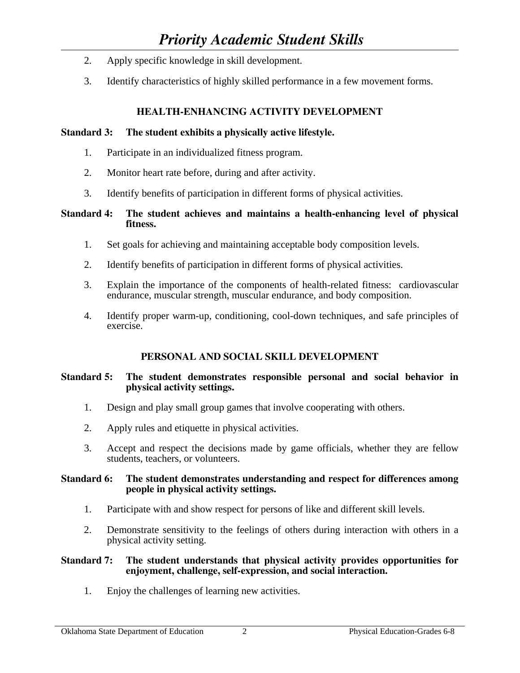# *Priority Academic Student Skills*

- 2. Apply specific knowledge in skill development.
- 3. Identify characteristics of highly skilled performance in a few movement forms.

## **HEALTH-ENHANCING ACTIVITY DEVELOPMENT**

## **Standard 3: The student exhibits a physically active lifestyle.**

- 1. Participate in an individualized fitness program.
- 2. Monitor heart rate before, during and after activity.
- 3. Identify benefits of participation in different forms of physical activities.

## **Standard 4: The student achieves and maintains a health-enhancing level of physical fitness.**

- 1. Set goals for achieving and maintaining acceptable body composition levels.
- 2. Identify benefits of participation in different forms of physical activities.
- 3. Explain the importance of the components of health-related fitness: cardiovascular endurance, muscular strength, muscular endurance, and body composition.
- 4. Identify proper warm-up, conditioning, cool-down techniques, and safe principles of exercise.

## **PERSONAL AND SOCIAL SKILL DEVELOPMENT**

## **Standard 5: The student demonstrates responsible personal and social behavior in physical activity settings.**

- 1. Design and play small group games that involve cooperating with others.
- 2. Apply rules and etiquette in physical activities.
- 3. Accept and respect the decisions made by game officials, whether they are fellow students, teachers, or volunteers.

#### **Standard 6: The student demonstrates understanding and respect for differences among people in physical activity settings.**

- 1. Participate with and show respect for persons of like and different skill levels.
- 2. Demonstrate sensitivity to the feelings of others during interaction with others in a physical activity setting.

## **Standard 7: The student understands that physical activity provides opportunities for enjoyment, challenge, self-expression, and social interaction.**

1. Enjoy the challenges of learning new activities.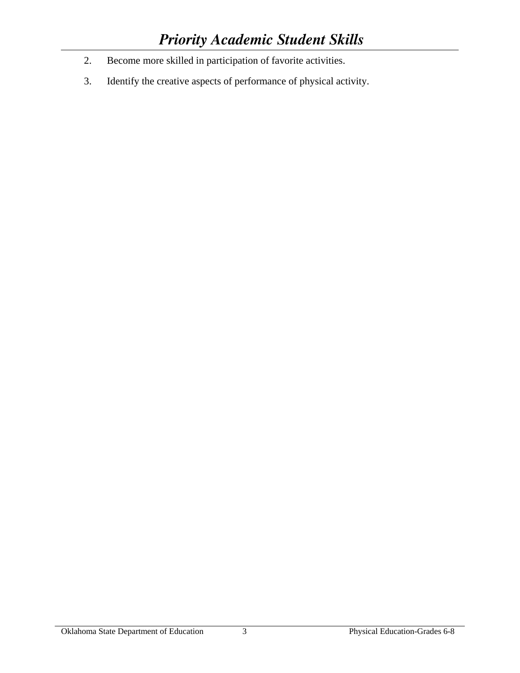- 2. Become more skilled in participation of favorite activities.
- 3. Identify the creative aspects of performance of physical activity.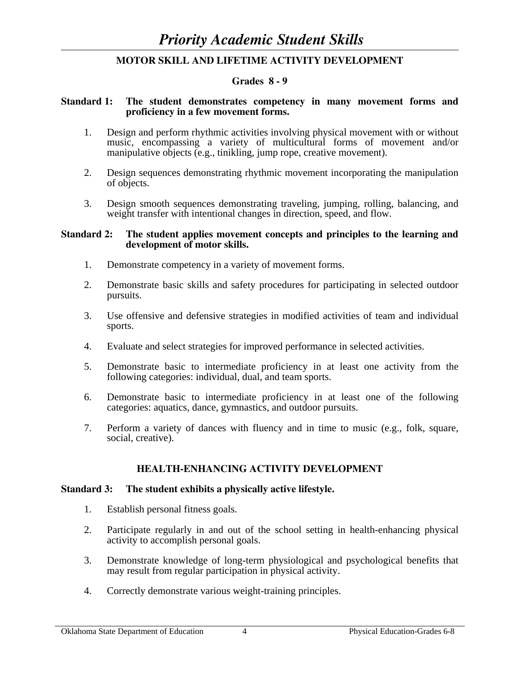## **MOTOR SKILL AND LIFETIME ACTIVITY DEVELOPMENT**

#### **Grades 8 - 9**

#### **Standard 1: The student demonstrates competency in many movement forms and proficiency in a few movement forms.**

- 1. Design and perform rhythmic activities involving physical movement with or without music, encompassing a variety of multicultural forms of movement and/or manipulative objects (e.g., tinikling, jump rope, creative movement).
- 2. Design sequences demonstrating rhythmic movement incorporating the manipulation of objects.
- 3. Design smooth sequences demonstrating traveling, jumping, rolling, balancing, and weight transfer with intentional changes in direction, speed, and flow.

#### **Standard 2: The student applies movement concepts and principles to the learning and development of motor skills.**

- 1. Demonstrate competency in a variety of movement forms.
- 2. Demonstrate basic skills and safety procedures for participating in selected outdoor pursuits.
- 3. Use offensive and defensive strategies in modified activities of team and individual sports.
- 4. Evaluate and select strategies for improved performance in selected activities.
- 5. Demonstrate basic to intermediate proficiency in at least one activity from the following categories: individual, dual, and team sports.
- 6. Demonstrate basic to intermediate proficiency in at least one of the following categories: aquatics, dance, gymnastics, and outdoor pursuits.
- 7. Perform a variety of dances with fluency and in time to music (e.g., folk, square, social, creative).

## **HEALTH-ENHANCING ACTIVITY DEVELOPMENT**

#### **Standard 3: The student exhibits a physically active lifestyle.**

- 1. Establish personal fitness goals.
- 2. Participate regularly in and out of the school setting in health-enhancing physical activity to accomplish personal goals.
- 3. Demonstrate knowledge of long-term physiological and psychological benefits that may result from regular participation in physical activity.
- 4. Correctly demonstrate various weight-training principles.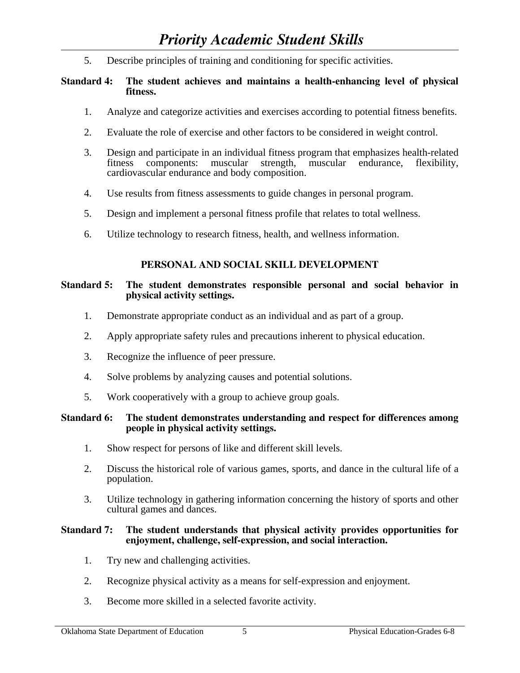5. Describe principles of training and conditioning for specific activities.

## **Standard 4: The student achieves and maintains a health-enhancing level of physical fitness.**

- 1. Analyze and categorize activities and exercises according to potential fitness benefits.
- 2. Evaluate the role of exercise and other factors to be considered in weight control.
- 3. Design and participate in an individual fitness program that emphasizes health-related fitness components: muscular strength, muscular endurance, flexibility, cardiovascular endurance and body composition.<br>4. Use results from fitness assessments to guide cha
- Use results from fitness assessments to guide changes in personal program.
- 5. Design and implement a personal fitness profile that relates to total wellness.
- 6. Utilize technology to research fitness, health, and wellness information.

## **PERSONAL AND SOCIAL SKILL DEVELOPMENT**

## **Standard 5: The student demonstrates responsible personal and social behavior in physical activity settings.**

- 1. Demonstrate appropriate conduct as an individual and as part of a group.
- 2. Apply appropriate safety rules and precautions inherent to physical education.
- 3. Recognize the influence of peer pressure.
- 4. Solve problems by analyzing causes and potential solutions.
- 5. Work cooperatively with a group to achieve group goals.

#### **Standard 6: The student demonstrates understanding and respect for differences among people in physical activity settings.**

- 1. Show respect for persons of like and different skill levels.
- 2. Discuss the historical role of various games, sports, and dance in the cultural life of a population.
- 3. Utilize technology in gathering information concerning the history of sports and other cultural games and dances.

#### **Standard 7: The student understands that physical activity provides opportunities for enjoyment, challenge, self-expression, and social interaction.**

- 1. Try new and challenging activities.
- 2. Recognize physical activity as a means for self-expression and enjoyment.
- 3. Become more skilled in a selected favorite activity.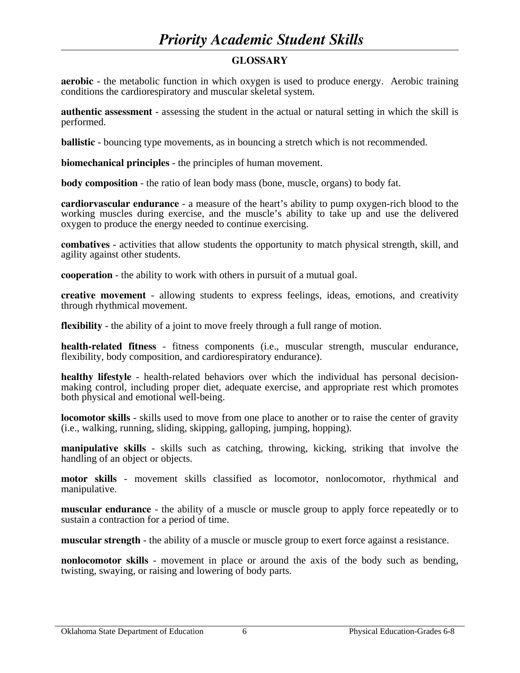# *Priority Academic Student Skills*

## **GLOSSARY**

**aerobic** - the metabolic function in which oxygen is used to produce energy. Aerobic training conditions the cardiorespiratory and muscular skeletal system.

**authentic assessment** - assessing the student in the actual or natural setting in which the skill is performed.

**ballistic** - bouncing type movements, as in bouncing a stretch which is not recommended.

**biomechanical principles** - the principles of human movement.

**body composition** - the ratio of lean body mass (bone, muscle, organs) to body fat.

**cardiorvascular endurance** - a measure of the heart's ability to pump oxygen-rich blood to the working muscles during exercise, and the muscle's ability to take up and use the delivered oxygen to produce the energy needed to continue exercising.

**combatives** - activities that allow students the opportunity to match physical strength, skill, and agility against other students.

**cooperation** - the ability to work with others in pursuit of a mutual goal.

**creative movement** - allowing students to express feelings, ideas, emotions, and creativity through rhythmical movement.

**flexibility** - the ability of a joint to move freely through a full range of motion.

**health-related fitness** - fitness components (i.e., muscular strength, muscular endurance, flexibility, body composition, and cardiorespiratory endurance).

**healthy lifestyle** - health-related behaviors over which the individual has personal decisionmaking control, including proper diet, adequate exercise, and appropriate rest which promotes both physical and emotional well-being.

**locomotor skills** - skills used to move from one place to another or to raise the center of gravity (i.e., walking, running, sliding, skipping, galloping, jumping, hopping).

**manipulative skills** - skills such as catching, throwing, kicking, striking that involve the handling of an object or objects.

**motor skills** - movement skills classified as locomotor, nonlocomotor, rhythmical and manipulative.

**muscular endurance** - the ability of a muscle or muscle group to apply force repeatedly or to sustain a contraction for a period of time.

**muscular strength** - the ability of a muscle or muscle group to exert force against a resistance.

**nonlocomotor skills** - movement in place or around the axis of the body such as bending, twisting, swaying, or raising and lowering of body parts.